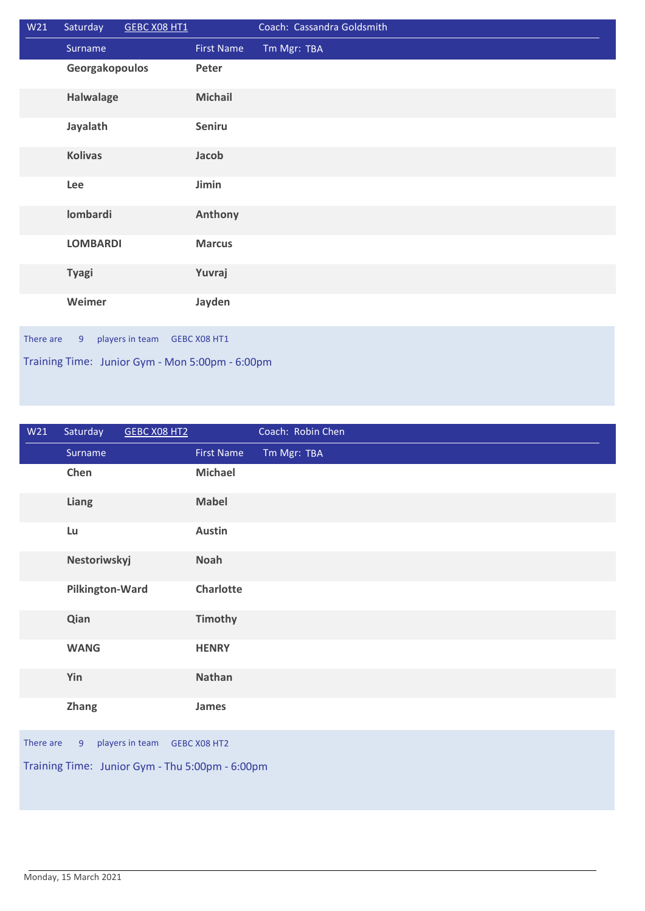| W21                                             | Saturday        | GEBC X08 HT1    |                   | Coach: Cassandra Goldsmith |
|-------------------------------------------------|-----------------|-----------------|-------------------|----------------------------|
|                                                 | Surname         |                 | <b>First Name</b> | Tm Mgr: TBA                |
|                                                 | Georgakopoulos  |                 | Peter             |                            |
|                                                 | Halwalage       |                 | <b>Michail</b>    |                            |
|                                                 | Jayalath        |                 | Seniru            |                            |
|                                                 | <b>Kolivas</b>  |                 | Jacob             |                            |
|                                                 | Lee             |                 | <b>Jimin</b>      |                            |
|                                                 | lombardi        |                 | Anthony           |                            |
|                                                 | <b>LOMBARDI</b> |                 | <b>Marcus</b>     |                            |
|                                                 | <b>Tyagi</b>    |                 | Yuvraj            |                            |
|                                                 | Weimer          |                 | Jayden            |                            |
| There are                                       | 9               | players in team | GEBC X08 HT1      |                            |
| Training Time: Junior Gym - Mon 5:00pm - 6:00pm |                 |                 |                   |                            |

| W <sub>21</sub>                                                | Saturday        | <b>GEBC X08 HT2</b> |                   | Coach: Robin Chen |  |
|----------------------------------------------------------------|-----------------|---------------------|-------------------|-------------------|--|
|                                                                | Surname         |                     | <b>First Name</b> | Tm Mgr: TBA       |  |
|                                                                | Chen            |                     | <b>Michael</b>    |                   |  |
|                                                                | <b>Liang</b>    |                     | <b>Mabel</b>      |                   |  |
|                                                                | Lu              |                     | <b>Austin</b>     |                   |  |
|                                                                | Nestoriwskyj    |                     | <b>Noah</b>       |                   |  |
|                                                                | Pilkington-Ward |                     | Charlotte         |                   |  |
|                                                                | Qian            |                     | <b>Timothy</b>    |                   |  |
|                                                                | <b>WANG</b>     |                     | <b>HENRY</b>      |                   |  |
|                                                                | Yin             |                     | Nathan            |                   |  |
|                                                                | <b>Zhang</b>    |                     | James             |                   |  |
| There are<br>players in team<br>9 <sup>°</sup><br>GEBC X08 HT2 |                 |                     |                   |                   |  |
| Training Time: Junior Gym - Thu 5:00pm - 6:00pm                |                 |                     |                   |                   |  |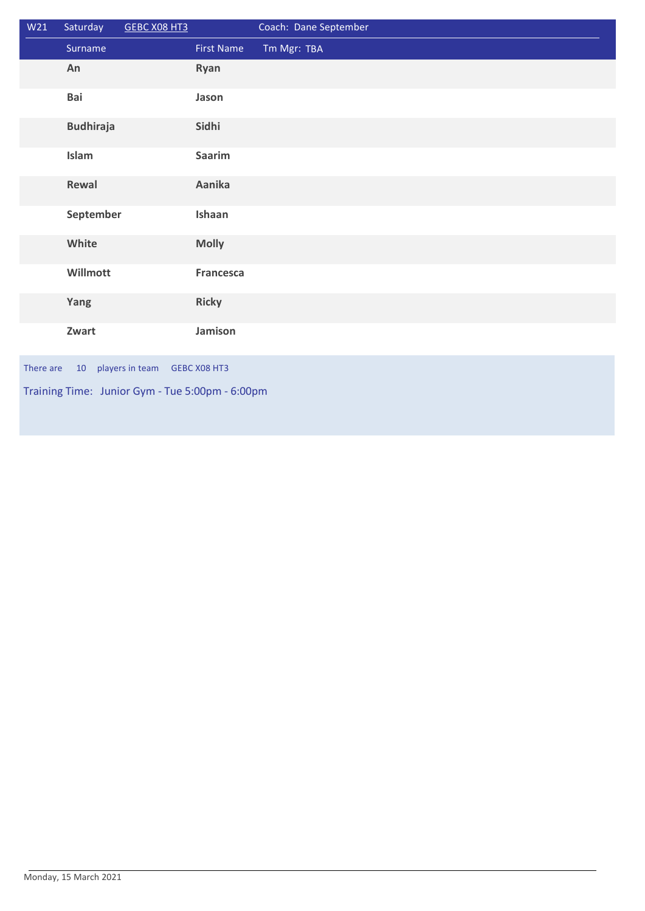| W21                                                | Saturday         | <b>GEBC X08 HT3</b> |                   | Coach: Dane September |  |
|----------------------------------------------------|------------------|---------------------|-------------------|-----------------------|--|
|                                                    | Surname          |                     | <b>First Name</b> | Tm Mgr: TBA           |  |
|                                                    | An               |                     | Ryan              |                       |  |
|                                                    | Bai              |                     | Jason             |                       |  |
|                                                    | <b>Budhiraja</b> |                     | Sidhi             |                       |  |
|                                                    | Islam            |                     | <b>Saarim</b>     |                       |  |
|                                                    | Rewal            |                     | Aanika            |                       |  |
|                                                    | September        |                     | Ishaan            |                       |  |
|                                                    | White            |                     | <b>Molly</b>      |                       |  |
|                                                    | Willmott         |                     | <b>Francesca</b>  |                       |  |
|                                                    | Yang             |                     | <b>Ricky</b>      |                       |  |
|                                                    | Zwart            |                     | Jamison           |                       |  |
| There are<br>players in team<br>10<br>GEBC X08 HT3 |                  |                     |                   |                       |  |
| Training Time: Junior Gym - Tue 5:00pm - 6:00pm    |                  |                     |                   |                       |  |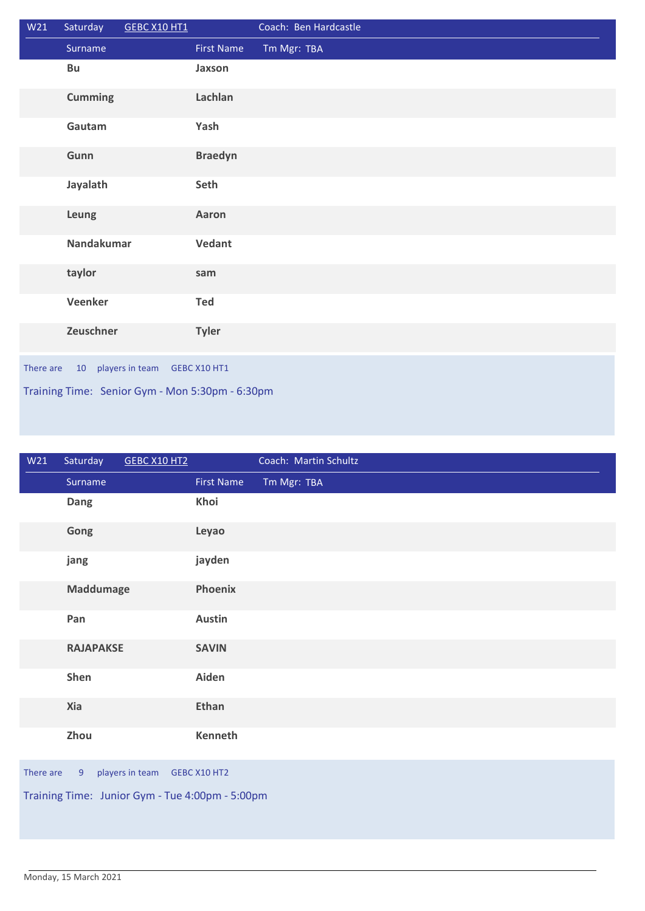| W21                                                     | Saturday       | GEBC X10 HT1 |                   | Coach: Ben Hardcastle |  |
|---------------------------------------------------------|----------------|--------------|-------------------|-----------------------|--|
|                                                         | Surname        |              | <b>First Name</b> | Tm Mgr: TBA           |  |
|                                                         | Bu             |              | Jaxson            |                       |  |
|                                                         | <b>Cumming</b> |              | Lachlan           |                       |  |
|                                                         | Gautam         |              | Yash              |                       |  |
|                                                         | Gunn           |              | <b>Braedyn</b>    |                       |  |
|                                                         | Jayalath       |              | Seth              |                       |  |
|                                                         | Leung          |              | Aaron             |                       |  |
|                                                         | Nandakumar     |              | Vedant            |                       |  |
|                                                         | taylor         |              | sam               |                       |  |
|                                                         | Veenker        |              | <b>Ted</b>        |                       |  |
|                                                         | Zeuschner      |              | <b>Tyler</b>      |                       |  |
| players in team<br>There are<br>$10-10$<br>GEBC X10 HT1 |                |              |                   |                       |  |
| Training Time: Senior Gym - Mon 5:30pm - 6:30pm         |                |              |                   |                       |  |

| W <sub>21</sub>                                 | Saturday         | GEBC X10 HT2 |                   | Coach: Martin Schultz |  |  |
|-------------------------------------------------|------------------|--------------|-------------------|-----------------------|--|--|
|                                                 | Surname          |              | <b>First Name</b> | Tm Mgr: TBA           |  |  |
|                                                 | Dang             |              | Khoi              |                       |  |  |
|                                                 | Gong             |              | Leyao             |                       |  |  |
|                                                 | jang             |              | jayden            |                       |  |  |
|                                                 | <b>Maddumage</b> |              | Phoenix           |                       |  |  |
|                                                 | Pan              |              | <b>Austin</b>     |                       |  |  |
|                                                 | <b>RAJAPAKSE</b> |              | <b>SAVIN</b>      |                       |  |  |
|                                                 | Shen             |              | Aiden             |                       |  |  |
|                                                 | Xia              |              | <b>Ethan</b>      |                       |  |  |
|                                                 | Zhou             |              | Kenneth           |                       |  |  |
| There are<br>players in team GEBC X10 HT2<br>9  |                  |              |                   |                       |  |  |
| Training Time: Junior Gym - Tue 4:00pm - 5:00pm |                  |              |                   |                       |  |  |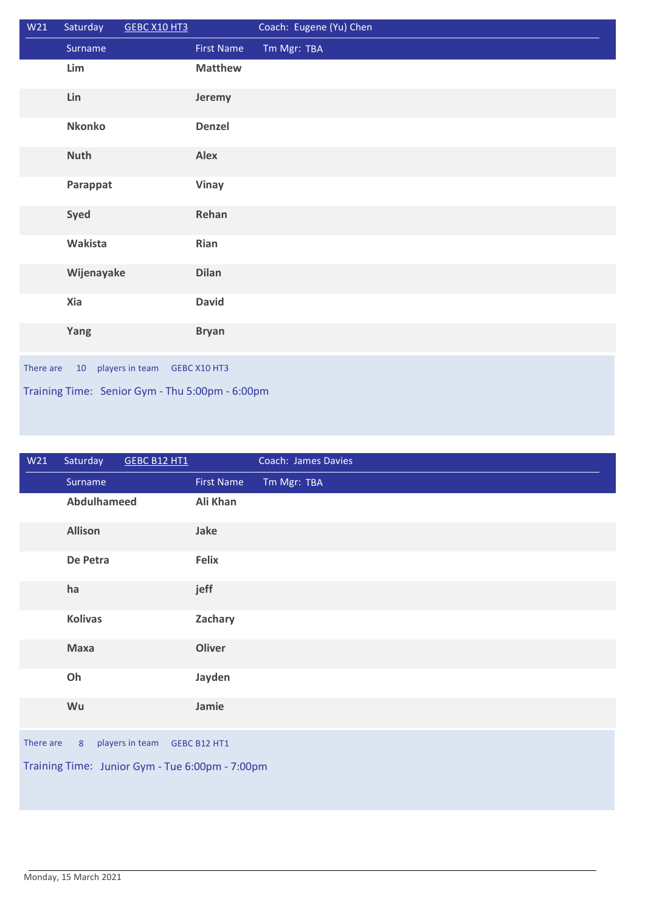| W21                                             | Saturday                                        | GEBC X10 HT3 |                   | Coach: Eugene (Yu) Chen |  |  |
|-------------------------------------------------|-------------------------------------------------|--------------|-------------------|-------------------------|--|--|
|                                                 | Surname                                         |              | <b>First Name</b> | Tm Mgr: TBA             |  |  |
|                                                 | Lim                                             |              | <b>Matthew</b>    |                         |  |  |
|                                                 | Lin                                             |              | Jeremy            |                         |  |  |
|                                                 | <b>Nkonko</b>                                   |              | Denzel            |                         |  |  |
|                                                 | <b>Nuth</b>                                     |              | <b>Alex</b>       |                         |  |  |
|                                                 | Parappat                                        |              | <b>Vinay</b>      |                         |  |  |
|                                                 | Syed                                            |              | Rehan             |                         |  |  |
|                                                 | Wakista                                         |              | Rian              |                         |  |  |
|                                                 | Wijenayake                                      |              | <b>Dilan</b>      |                         |  |  |
|                                                 | Xia                                             |              | <b>David</b>      |                         |  |  |
|                                                 | Yang                                            |              | <b>Bryan</b>      |                         |  |  |
| 10 players in team<br>There are<br>GEBC X10 HT3 |                                                 |              |                   |                         |  |  |
|                                                 | Training Time: Senior Gym - Thu 5:00pm - 6:00pm |              |                   |                         |  |  |

| W21                                             | Saturday       | <b>GEBC B12 HT1</b> |                   | Coach: James Davies |
|-------------------------------------------------|----------------|---------------------|-------------------|---------------------|
|                                                 | Surname        |                     | <b>First Name</b> | Tm Mgr: TBA         |
|                                                 | Abdulhameed    |                     | Ali Khan          |                     |
|                                                 | <b>Allison</b> |                     | Jake              |                     |
|                                                 | De Petra       |                     | <b>Felix</b>      |                     |
|                                                 | ha             |                     | jeff              |                     |
|                                                 | <b>Kolivas</b> |                     | Zachary           |                     |
|                                                 | <b>Maxa</b>    |                     | <b>Oliver</b>     |                     |
|                                                 | Oh             |                     | Jayden            |                     |
|                                                 | Wu             |                     | Jamie             |                     |
| There are                                       | 8              | players in team     | GEBC B12 HT1      |                     |
| Training Time: Junior Gym - Tue 6:00pm - 7:00pm |                |                     |                   |                     |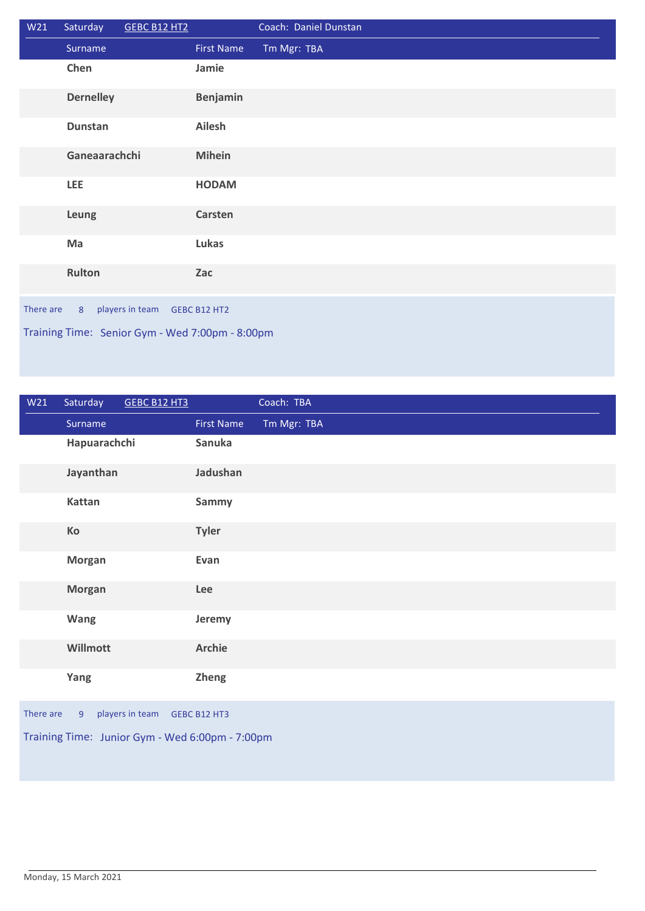| W21                                               | Saturday         | GEBC B12 HT2 |                   | Coach: Daniel Dunstan |  |
|---------------------------------------------------|------------------|--------------|-------------------|-----------------------|--|
|                                                   | Surname          |              | <b>First Name</b> | Tm Mgr: TBA           |  |
|                                                   | Chen             |              | Jamie             |                       |  |
|                                                   | <b>Dernelley</b> |              | Benjamin          |                       |  |
|                                                   | <b>Dunstan</b>   |              | Ailesh            |                       |  |
|                                                   | Ganeaarachchi    |              | <b>Mihein</b>     |                       |  |
|                                                   | LEE              |              | <b>HODAM</b>      |                       |  |
|                                                   | Leung            |              | <b>Carsten</b>    |                       |  |
|                                                   | Ma               |              | Lukas             |                       |  |
|                                                   | Rulton           |              | Zac               |                       |  |
| players in team<br>There are<br>8<br>GEBC B12 HT2 |                  |              |                   |                       |  |
| Training Time: Senior Gym - Wed 7:00pm - 8:00pm   |                  |              |                   |                       |  |

| W21                                                            | Saturday      | GEBC B12 HT3 |                   | Coach: TBA  |
|----------------------------------------------------------------|---------------|--------------|-------------------|-------------|
|                                                                | Surname       |              | <b>First Name</b> | Tm Mgr: TBA |
|                                                                | Hapuarachchi  |              | Sanuka            |             |
|                                                                | Jayanthan     |              | Jadushan          |             |
|                                                                | Kattan        |              | Sammy             |             |
|                                                                | Ko            |              | <b>Tyler</b>      |             |
|                                                                | <b>Morgan</b> |              | Evan              |             |
|                                                                | <b>Morgan</b> |              | Lee               |             |
|                                                                | <b>Wang</b>   |              | Jeremy            |             |
|                                                                | Willmott      |              | <b>Archie</b>     |             |
|                                                                | Yang          |              | <b>Zheng</b>      |             |
| players in team<br>There are<br>9 <sup>°</sup><br>GEBC B12 HT3 |               |              |                   |             |
| Training Time: Junior Gym - Wed 6:00pm - 7:00pm                |               |              |                   |             |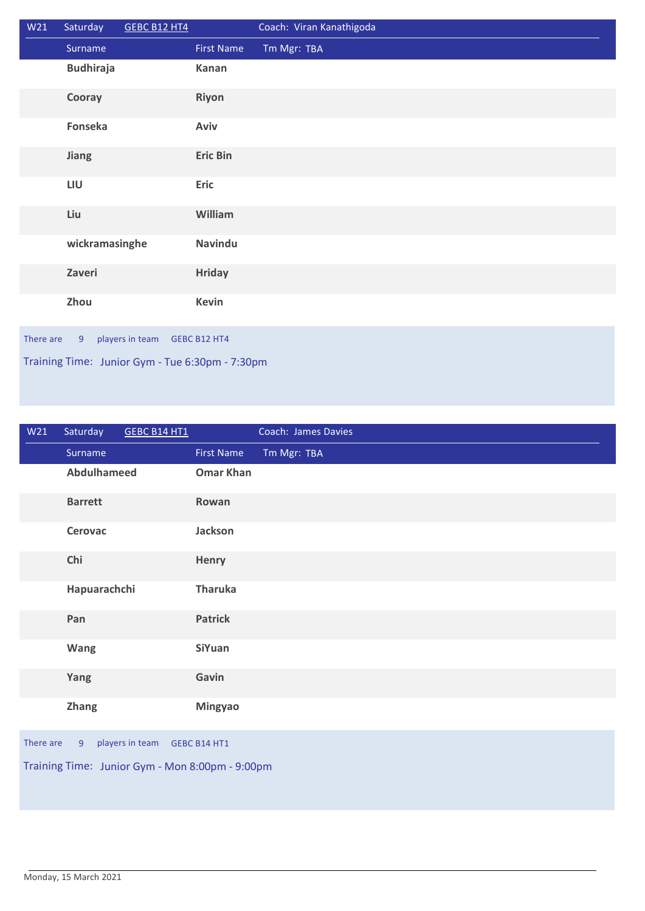| W21                                                            | Saturday         | <b>GEBC B12 HT4</b> |                   | Coach: Viran Kanathigoda |  |
|----------------------------------------------------------------|------------------|---------------------|-------------------|--------------------------|--|
|                                                                | Surname          |                     | <b>First Name</b> | Tm Mgr: TBA              |  |
|                                                                | <b>Budhiraja</b> |                     | Kanan             |                          |  |
|                                                                | Cooray           |                     | <b>Riyon</b>      |                          |  |
|                                                                | Fonseka          |                     | Aviv              |                          |  |
|                                                                | Jiang            |                     | <b>Eric Bin</b>   |                          |  |
|                                                                | LIU              |                     | Eric              |                          |  |
|                                                                | Liu              |                     | William           |                          |  |
|                                                                | wickramasinghe   |                     | <b>Navindu</b>    |                          |  |
|                                                                | Zaveri           |                     | <b>Hriday</b>     |                          |  |
|                                                                | Zhou             |                     | <b>Kevin</b>      |                          |  |
| players in team<br>There are<br>$\overline{9}$<br>GEBC B12 HT4 |                  |                     |                   |                          |  |
| Training Time: Junior Gym - Tue 6:30pm - 7:30pm                |                  |                     |                   |                          |  |

| W21                                               | Saturday           | <b>GEBC B14 HT1</b> |                   | Coach: James Davies |  |
|---------------------------------------------------|--------------------|---------------------|-------------------|---------------------|--|
|                                                   | Surname            |                     | <b>First Name</b> | Tm Mgr: TBA         |  |
|                                                   | <b>Abdulhameed</b> |                     | <b>Omar Khan</b>  |                     |  |
|                                                   | <b>Barrett</b>     |                     | Rowan             |                     |  |
|                                                   | Cerovac            |                     | Jackson           |                     |  |
|                                                   | Chi                |                     | Henry             |                     |  |
|                                                   | Hapuarachchi       |                     | <b>Tharuka</b>    |                     |  |
|                                                   | Pan                |                     | <b>Patrick</b>    |                     |  |
|                                                   | Wang               |                     | <b>SiYuan</b>     |                     |  |
|                                                   | Yang               |                     | Gavin             |                     |  |
|                                                   | <b>Zhang</b>       |                     | <b>Mingyao</b>    |                     |  |
| players in team<br>There are<br>GEBC B14 HT1<br>9 |                    |                     |                   |                     |  |
| Training Time: Junior Gym - Mon 8:00pm - 9:00pm   |                    |                     |                   |                     |  |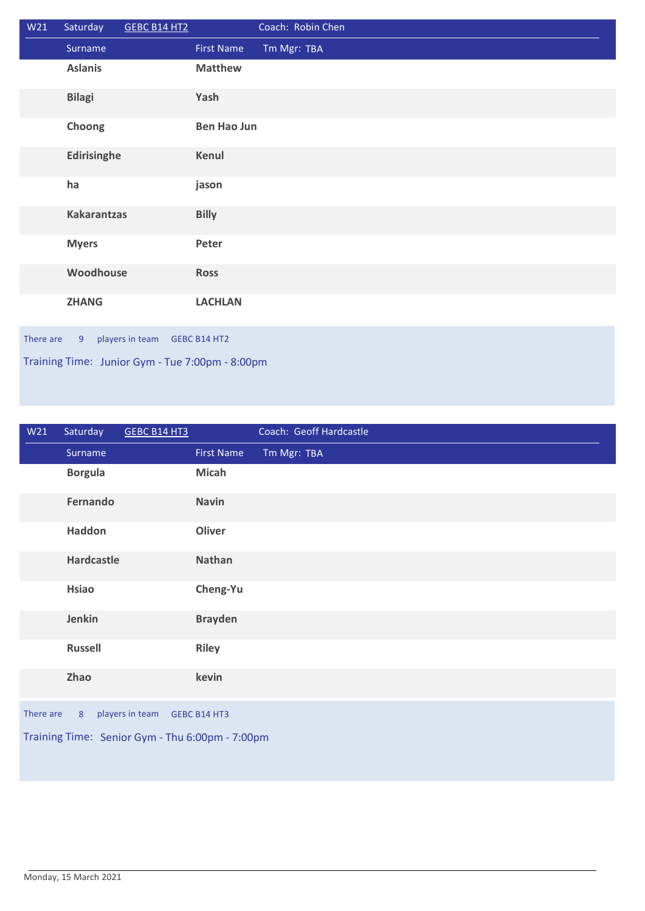| W21                                               | Saturday           | GEBC B14 HT2 |                    | Coach: Robin Chen |  |
|---------------------------------------------------|--------------------|--------------|--------------------|-------------------|--|
|                                                   | Surname            |              | <b>First Name</b>  | Tm Mgr: TBA       |  |
|                                                   | <b>Aslanis</b>     |              | <b>Matthew</b>     |                   |  |
|                                                   | <b>Bilagi</b>      |              | Yash               |                   |  |
|                                                   | Choong             |              | <b>Ben Hao Jun</b> |                   |  |
|                                                   | Edirisinghe        |              | Kenul              |                   |  |
|                                                   | ha                 |              | jason              |                   |  |
|                                                   | <b>Kakarantzas</b> |              | <b>Billy</b>       |                   |  |
|                                                   | <b>Myers</b>       |              | Peter              |                   |  |
|                                                   | Woodhouse          |              | <b>Ross</b>        |                   |  |
|                                                   | <b>ZHANG</b>       |              | <b>LACHLAN</b>     |                   |  |
| There are<br>players in team<br>9<br>GEBC B14 HT2 |                    |              |                    |                   |  |
| Training Time: Junior Gym - Tue 7:00pm - 8:00pm   |                    |              |                    |                   |  |

| W21                                               | Saturday       | <b>GEBC B14 HT3</b> |                   | Coach: Geoff Hardcastle |
|---------------------------------------------------|----------------|---------------------|-------------------|-------------------------|
|                                                   | Surname        |                     | <b>First Name</b> | Tm Mgr: TBA             |
|                                                   | <b>Borgula</b> |                     | <b>Micah</b>      |                         |
|                                                   | Fernando       |                     | <b>Navin</b>      |                         |
|                                                   | Haddon         |                     | Oliver            |                         |
|                                                   | Hardcastle     |                     | Nathan            |                         |
|                                                   | <b>Hsiao</b>   |                     | Cheng-Yu          |                         |
|                                                   | Jenkin         |                     | <b>Brayden</b>    |                         |
|                                                   | <b>Russell</b> |                     | <b>Riley</b>      |                         |
|                                                   | Zhao           |                     | kevin             |                         |
| There are<br>players in team<br>8<br>GEBC B14 HT3 |                |                     |                   |                         |
| Training Time: Senior Gym - Thu 6:00pm - 7:00pm   |                |                     |                   |                         |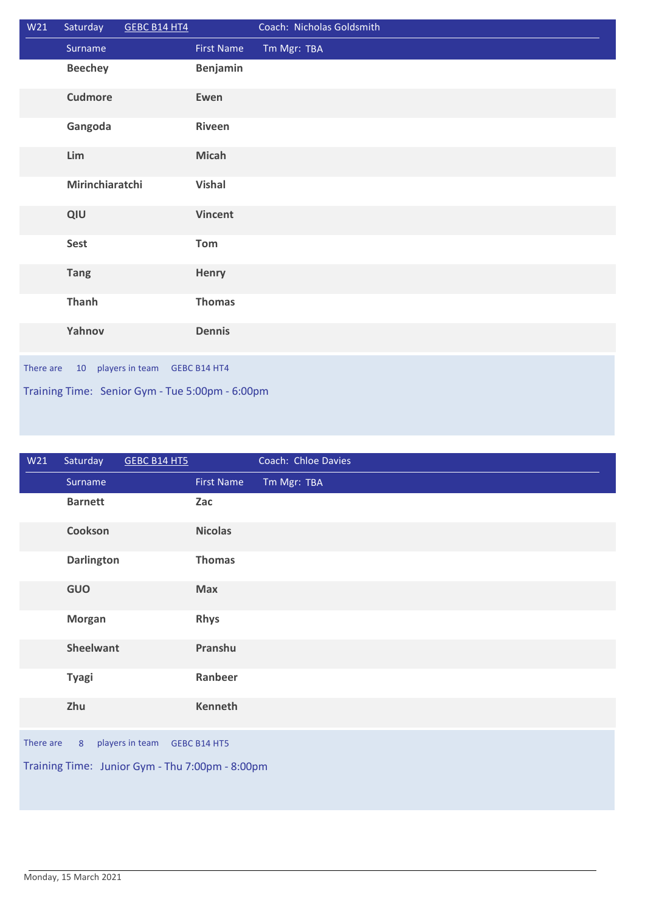| W <sub>21</sub> | Saturday           | GEBC B14 HT4                                    |                   | Coach: Nicholas Goldsmith |
|-----------------|--------------------|-------------------------------------------------|-------------------|---------------------------|
|                 | Surname            |                                                 | <b>First Name</b> | Tm Mgr: TBA               |
|                 | <b>Beechey</b>     |                                                 | Benjamin          |                           |
|                 | <b>Cudmore</b>     |                                                 | Ewen              |                           |
|                 | Gangoda            |                                                 | Riveen            |                           |
|                 | Lim                |                                                 | <b>Micah</b>      |                           |
|                 | Mirinchiaratchi    |                                                 | <b>Vishal</b>     |                           |
|                 | QIU                |                                                 | <b>Vincent</b>    |                           |
|                 | Sest               |                                                 | Tom               |                           |
|                 | <b>Tang</b>        |                                                 | Henry             |                           |
|                 | <b>Thanh</b>       |                                                 | <b>Thomas</b>     |                           |
|                 | Yahnov             |                                                 | <b>Dennis</b>     |                           |
| There are       | 10 players in team |                                                 | GEBC B14 HT4      |                           |
|                 |                    | Training Time: Senior Gym - Tue 5:00pm - 6:00pm |                   |                           |

| W21       | Saturday          | <b>GEBC B14 HT5</b>                             |                   | Coach: Chloe Davies |
|-----------|-------------------|-------------------------------------------------|-------------------|---------------------|
|           | Surname           |                                                 | <b>First Name</b> | Tm Mgr: TBA         |
|           | <b>Barnett</b>    |                                                 | Zac               |                     |
|           | Cookson           |                                                 | <b>Nicolas</b>    |                     |
|           | <b>Darlington</b> |                                                 | <b>Thomas</b>     |                     |
|           | GUO               |                                                 | <b>Max</b>        |                     |
|           | <b>Morgan</b>     |                                                 | <b>Rhys</b>       |                     |
|           | <b>Sheelwant</b>  |                                                 | Pranshu           |                     |
|           | <b>Tyagi</b>      |                                                 | Ranbeer           |                     |
|           | Zhu               |                                                 | <b>Kenneth</b>    |                     |
| There are | 8                 | players in team                                 | GEBC B14 HT5      |                     |
|           |                   | Training Time: Junior Gym - Thu 7:00pm - 8:00pm |                   |                     |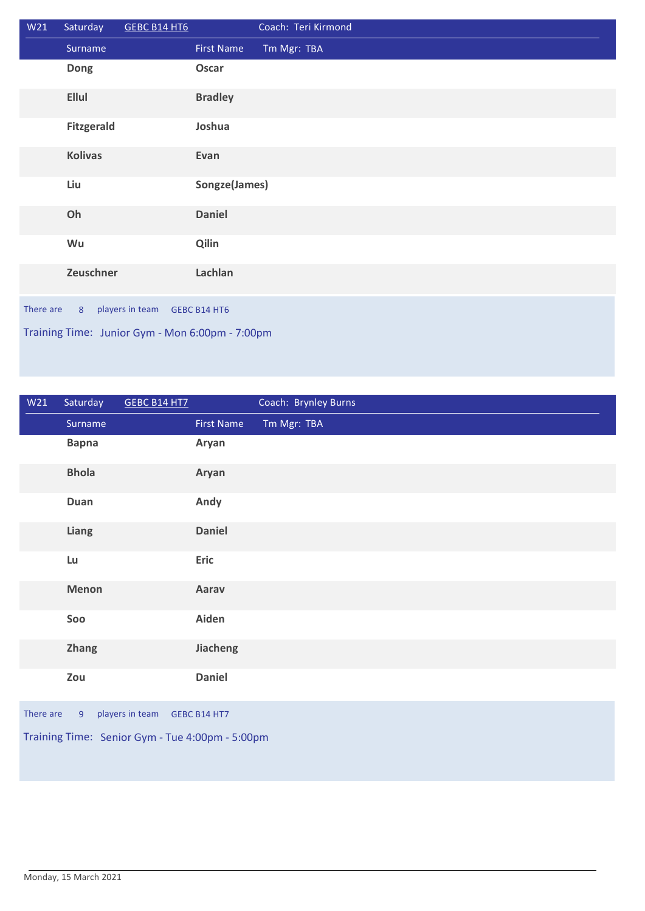| W <sub>21</sub>                                   | Saturday          | GEBC B14 HT6 |                   | Coach: Teri Kirmond |  |
|---------------------------------------------------|-------------------|--------------|-------------------|---------------------|--|
|                                                   | Surname           |              | <b>First Name</b> | Tm Mgr: TBA         |  |
|                                                   | Dong              |              | Oscar             |                     |  |
|                                                   | <b>Ellul</b>      |              | <b>Bradley</b>    |                     |  |
|                                                   | <b>Fitzgerald</b> |              | Joshua            |                     |  |
|                                                   | <b>Kolivas</b>    |              | Evan              |                     |  |
|                                                   | Liu               |              | Songze(James)     |                     |  |
|                                                   | Oh                |              | <b>Daniel</b>     |                     |  |
|                                                   | Wu                |              | Qilin             |                     |  |
|                                                   | Zeuschner         |              | Lachlan           |                     |  |
| players in team<br>There are<br>8<br>GEBC B14 HT6 |                   |              |                   |                     |  |
| Training Time: Junior Gym - Mon 6:00pm - 7:00pm   |                   |              |                   |                     |  |

| W <sub>21</sub>                                                | Saturday     | <b>GEBC B14 HT7</b> |                   | Coach: Brynley Burns |
|----------------------------------------------------------------|--------------|---------------------|-------------------|----------------------|
|                                                                | Surname      |                     | <b>First Name</b> | Tm Mgr: TBA          |
|                                                                | <b>Bapna</b> |                     | Aryan             |                      |
|                                                                | <b>Bhola</b> |                     | Aryan             |                      |
|                                                                | Duan         |                     | Andy              |                      |
|                                                                | Liang        |                     | <b>Daniel</b>     |                      |
|                                                                | Lu           |                     | <b>Eric</b>       |                      |
|                                                                | Menon        |                     | Aarav             |                      |
|                                                                | Soo          |                     | Aiden             |                      |
|                                                                | Zhang        |                     | Jiacheng          |                      |
|                                                                | Zou          |                     | <b>Daniel</b>     |                      |
| There are<br>players in team<br>9 <sup>°</sup><br>GEBC B14 HT7 |              |                     |                   |                      |
| Training Time: Senior Gym - Tue 4:00pm - 5:00pm                |              |                     |                   |                      |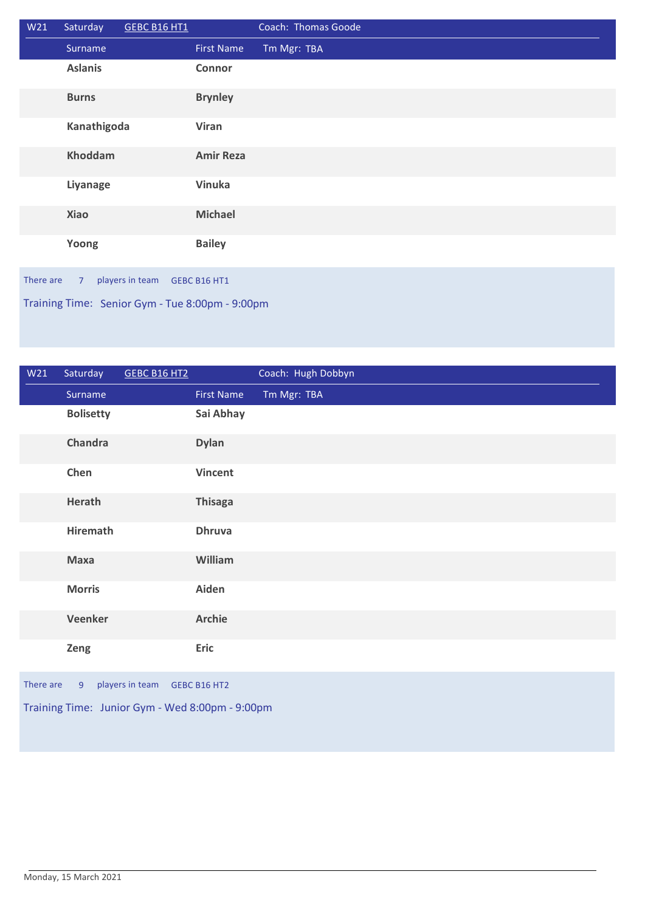| W21                                             | Saturday       | GEBC B16 HT1    |                   | Coach: Thomas Goode |  |
|-------------------------------------------------|----------------|-----------------|-------------------|---------------------|--|
|                                                 | Surname        |                 | <b>First Name</b> | Tm Mgr: TBA         |  |
|                                                 | <b>Aslanis</b> |                 | <b>Connor</b>     |                     |  |
|                                                 | <b>Burns</b>   |                 | <b>Brynley</b>    |                     |  |
|                                                 | Kanathigoda    |                 | <b>Viran</b>      |                     |  |
|                                                 | <b>Khoddam</b> |                 | <b>Amir Reza</b>  |                     |  |
|                                                 | Liyanage       |                 | <b>Vinuka</b>     |                     |  |
|                                                 | <b>Xiao</b>    |                 | <b>Michael</b>    |                     |  |
|                                                 | Yoong          |                 | <b>Bailey</b>     |                     |  |
| There are                                       | $7^{\circ}$    | players in team | GEBC B16 HT1      |                     |  |
| Training Time: Senior Gym - Tue 8:00pm - 9:00pm |                |                 |                   |                     |  |

| W21                                               | Saturday         | GEBC B16 HT2 |                   | Coach: Hugh Dobbyn |  |
|---------------------------------------------------|------------------|--------------|-------------------|--------------------|--|
|                                                   | Surname          |              | <b>First Name</b> | Tm Mgr: TBA        |  |
|                                                   | <b>Bolisetty</b> |              | Sai Abhay         |                    |  |
|                                                   | <b>Chandra</b>   |              | <b>Dylan</b>      |                    |  |
|                                                   | Chen             |              | <b>Vincent</b>    |                    |  |
|                                                   | Herath           |              | <b>Thisaga</b>    |                    |  |
|                                                   | <b>Hiremath</b>  |              | <b>Dhruva</b>     |                    |  |
|                                                   | Maxa             |              | William           |                    |  |
|                                                   | <b>Morris</b>    |              | Aiden             |                    |  |
|                                                   | Veenker          |              | <b>Archie</b>     |                    |  |
|                                                   | Zeng             |              | Eric              |                    |  |
| players in team<br>There are<br>9<br>GEBC B16 HT2 |                  |              |                   |                    |  |
| Training Time: Junior Gym - Wed 8:00pm - 9:00pm   |                  |              |                   |                    |  |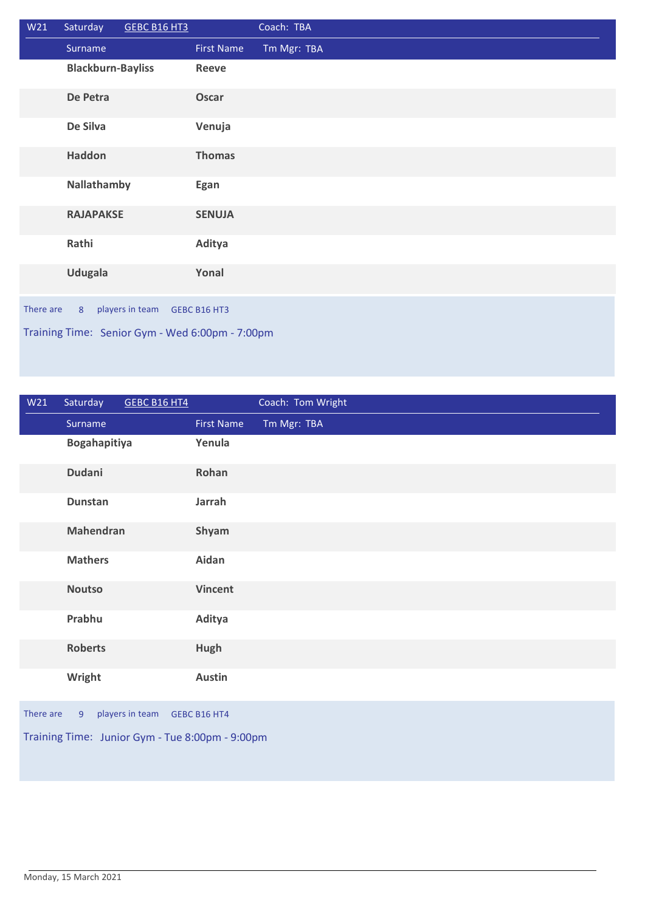| W <sub>21</sub>                                   | Saturday                 | <b>GEBC B16 HT3</b>                             |                   | Coach: TBA  |  |
|---------------------------------------------------|--------------------------|-------------------------------------------------|-------------------|-------------|--|
|                                                   | Surname                  |                                                 | <b>First Name</b> | Tm Mgr: TBA |  |
|                                                   | <b>Blackburn-Bayliss</b> |                                                 | <b>Reeve</b>      |             |  |
|                                                   | De Petra                 |                                                 | Oscar             |             |  |
|                                                   | De Silva                 |                                                 | Venuja            |             |  |
|                                                   | Haddon                   |                                                 | <b>Thomas</b>     |             |  |
|                                                   | Nallathamby              |                                                 | Egan              |             |  |
|                                                   | <b>RAJAPAKSE</b>         |                                                 | <b>SENUJA</b>     |             |  |
|                                                   | Rathi                    |                                                 | Aditya            |             |  |
|                                                   | <b>Udugala</b>           |                                                 | Yonal             |             |  |
| players in team<br>There are<br>8<br>GEBC B16 HT3 |                          |                                                 |                   |             |  |
|                                                   |                          | Training Time: Senior Gym - Wed 6:00pm - 7:00pm |                   |             |  |

| W <sub>21</sub>                                 | Saturday         | <b>GEBC B16 HT4</b> |                   | Coach: Tom Wright |  |
|-------------------------------------------------|------------------|---------------------|-------------------|-------------------|--|
|                                                 | Surname          |                     | <b>First Name</b> | Tm Mgr: TBA       |  |
|                                                 | Bogahapitiya     |                     | Yenula            |                   |  |
|                                                 | Dudani           |                     | Rohan             |                   |  |
|                                                 | <b>Dunstan</b>   |                     | Jarrah            |                   |  |
|                                                 | <b>Mahendran</b> |                     | Shyam             |                   |  |
|                                                 | <b>Mathers</b>   |                     | Aidan             |                   |  |
|                                                 | <b>Noutso</b>    |                     | <b>Vincent</b>    |                   |  |
|                                                 | Prabhu           |                     | Aditya            |                   |  |
|                                                 | <b>Roberts</b>   |                     | Hugh              |                   |  |
|                                                 | Wright           |                     | <b>Austin</b>     |                   |  |
| There are                                       | 9                | players in team     | GEBC B16 HT4      |                   |  |
| Training Time: Junior Gym - Tue 8:00pm - 9:00pm |                  |                     |                   |                   |  |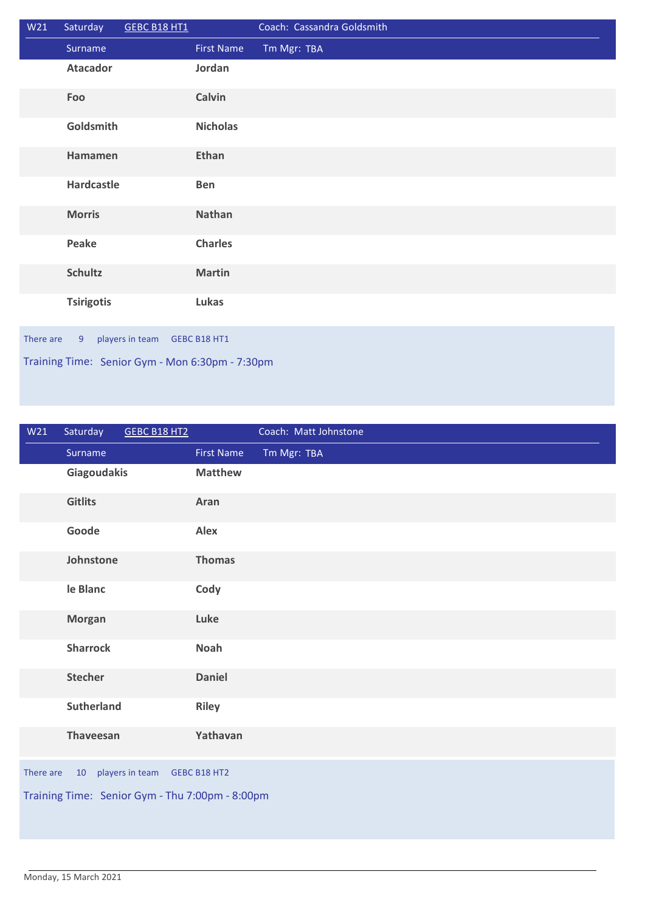| W21       | Saturday                                        | GEBC B18 HT1    |                   | Coach: Cassandra Goldsmith |  |  |
|-----------|-------------------------------------------------|-----------------|-------------------|----------------------------|--|--|
|           | Surname                                         |                 | <b>First Name</b> | Tm Mgr: TBA                |  |  |
|           | <b>Atacador</b>                                 |                 | Jordan            |                            |  |  |
|           | Foo                                             |                 | Calvin            |                            |  |  |
|           | Goldsmith                                       |                 | <b>Nicholas</b>   |                            |  |  |
|           | Hamamen                                         |                 | Ethan             |                            |  |  |
|           | Hardcastle                                      |                 | <b>Ben</b>        |                            |  |  |
|           | <b>Morris</b>                                   |                 | Nathan            |                            |  |  |
|           | Peake                                           |                 | <b>Charles</b>    |                            |  |  |
|           | <b>Schultz</b>                                  |                 | <b>Martin</b>     |                            |  |  |
|           | <b>Tsirigotis</b>                               |                 | Lukas             |                            |  |  |
| There are | 9 <sup>°</sup>                                  | players in team | GEBC B18 HT1      |                            |  |  |
|           | Training Time: Senior Gym - Mon 6:30pm - 7:30pm |                 |                   |                            |  |  |

| W <sub>21</sub> | Saturday          | GEBC B18 HT2                                    |                     | Coach: Matt Johnstone |
|-----------------|-------------------|-------------------------------------------------|---------------------|-----------------------|
|                 | Surname           |                                                 | <b>First Name</b>   | Tm Mgr: TBA           |
|                 | Giagoudakis       |                                                 | <b>Matthew</b>      |                       |
|                 | <b>Gitlits</b>    |                                                 | Aran                |                       |
|                 | Goode             |                                                 | <b>Alex</b>         |                       |
|                 | Johnstone         |                                                 | <b>Thomas</b>       |                       |
|                 | le Blanc          |                                                 | Cody                |                       |
|                 | <b>Morgan</b>     |                                                 | Luke                |                       |
|                 | <b>Sharrock</b>   |                                                 | <b>Noah</b>         |                       |
|                 | <b>Stecher</b>    |                                                 | <b>Daniel</b>       |                       |
|                 | <b>Sutherland</b> |                                                 | <b>Riley</b>        |                       |
|                 | <b>Thaveesan</b>  |                                                 | Yathavan            |                       |
| There are       | 10                | players in team                                 | <b>GEBC B18 HT2</b> |                       |
|                 |                   | Training Time: Senior Gym - Thu 7:00pm - 8:00pm |                     |                       |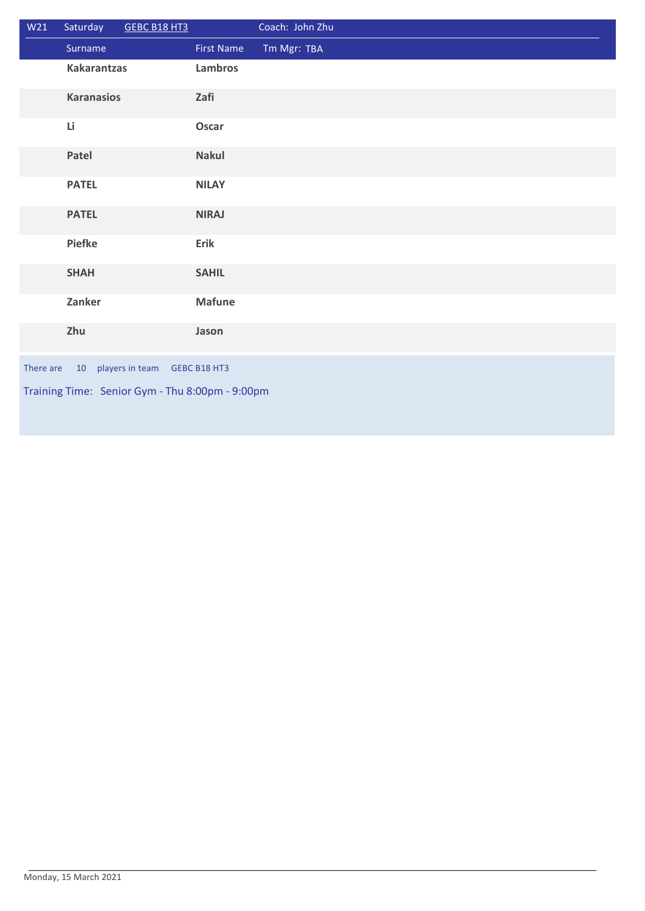| W21                                             | Saturday           | GEBC B18 HT3    |                   | Coach: John Zhu |  |
|-------------------------------------------------|--------------------|-----------------|-------------------|-----------------|--|
|                                                 | Surname            |                 | <b>First Name</b> | Tm Mgr: TBA     |  |
|                                                 | <b>Kakarantzas</b> |                 | Lambros           |                 |  |
|                                                 | <b>Karanasios</b>  |                 | Zafi              |                 |  |
|                                                 | Li                 |                 | Oscar             |                 |  |
|                                                 | Patel              |                 | <b>Nakul</b>      |                 |  |
|                                                 | <b>PATEL</b>       |                 | <b>NILAY</b>      |                 |  |
|                                                 | <b>PATEL</b>       |                 | <b>NIRAJ</b>      |                 |  |
|                                                 | <b>Piefke</b>      |                 | Erik              |                 |  |
|                                                 | <b>SHAH</b>        |                 | <b>SAHIL</b>      |                 |  |
|                                                 | Zanker             |                 | <b>Mafune</b>     |                 |  |
|                                                 | Zhu                |                 | Jason             |                 |  |
| There are                                       | 10                 | players in team | GEBC B18 HT3      |                 |  |
| Training Time: Senior Gym - Thu 8:00pm - 9:00pm |                    |                 |                   |                 |  |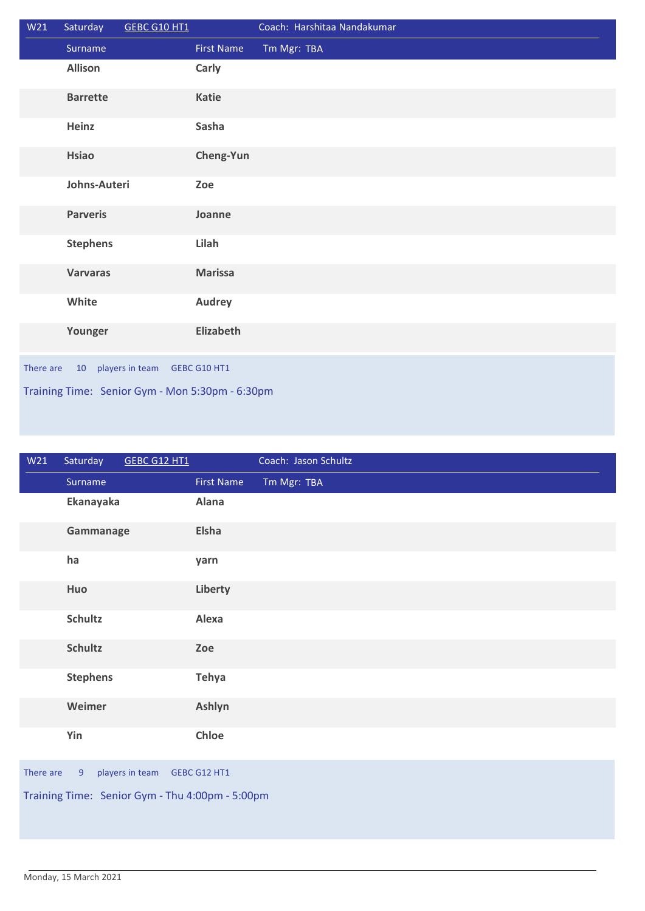| W21                                             | Saturday           | GEBC G10 HT1 |                   | Coach: Harshitaa Nandakumar |  |
|-------------------------------------------------|--------------------|--------------|-------------------|-----------------------------|--|
|                                                 | Surname            |              | <b>First Name</b> | Tm Mgr: TBA                 |  |
|                                                 | <b>Allison</b>     |              | Carly             |                             |  |
|                                                 | <b>Barrette</b>    |              | Katie             |                             |  |
|                                                 | Heinz              |              | Sasha             |                             |  |
|                                                 | <b>Hsiao</b>       |              | Cheng-Yun         |                             |  |
|                                                 | Johns-Auteri       |              | Zoe               |                             |  |
|                                                 | <b>Parveris</b>    |              | Joanne            |                             |  |
|                                                 | <b>Stephens</b>    |              | Lilah             |                             |  |
|                                                 | <b>Varvaras</b>    |              | <b>Marissa</b>    |                             |  |
|                                                 | White              |              | <b>Audrey</b>     |                             |  |
|                                                 | Younger            |              | Elizabeth         |                             |  |
| There are                                       | 10 players in team |              | GEBC G10 HT1      |                             |  |
| Training Time: Senior Gym - Mon 5:30pm - 6:30pm |                    |              |                   |                             |  |

| W21                                             | Saturday                                          | GEBC G12 HT1 |                   | Coach: Jason Schultz |  |  |
|-------------------------------------------------|---------------------------------------------------|--------------|-------------------|----------------------|--|--|
|                                                 | Surname                                           |              | <b>First Name</b> | Tm Mgr: TBA          |  |  |
|                                                 | Ekanayaka                                         |              | Alana             |                      |  |  |
|                                                 | Gammanage                                         |              | Elsha             |                      |  |  |
|                                                 | ha                                                |              | yarn              |                      |  |  |
|                                                 | Huo                                               |              | Liberty           |                      |  |  |
|                                                 | <b>Schultz</b>                                    |              | Alexa             |                      |  |  |
|                                                 | <b>Schultz</b>                                    |              | Zoe               |                      |  |  |
|                                                 | <b>Stephens</b>                                   |              | Tehya             |                      |  |  |
|                                                 | Weimer                                            |              | Ashlyn            |                      |  |  |
|                                                 | Yin                                               |              | Chloe             |                      |  |  |
|                                                 | There are<br>players in team<br>9<br>GEBC G12 HT1 |              |                   |                      |  |  |
| Training Time: Senior Gym - Thu 4:00pm - 5:00pm |                                                   |              |                   |                      |  |  |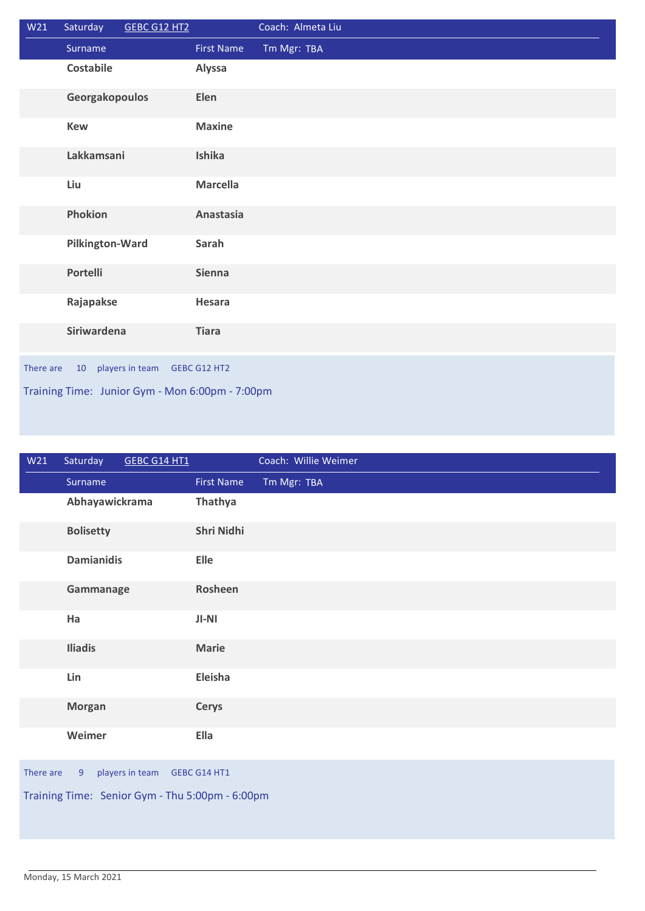| W <sub>21</sub>                                 | Saturday         | GEBC G12 HT2    |                   | Coach: Almeta Liu |  |
|-------------------------------------------------|------------------|-----------------|-------------------|-------------------|--|
|                                                 | Surname          |                 | <b>First Name</b> | Tm Mgr: TBA       |  |
|                                                 | <b>Costabile</b> |                 | Alyssa            |                   |  |
|                                                 | Georgakopoulos   |                 | Elen              |                   |  |
|                                                 | <b>Kew</b>       |                 | <b>Maxine</b>     |                   |  |
|                                                 | Lakkamsani       |                 | Ishika            |                   |  |
|                                                 | Liu              |                 | <b>Marcella</b>   |                   |  |
|                                                 | Phokion          |                 | Anastasia         |                   |  |
|                                                 | Pilkington-Ward  |                 | Sarah             |                   |  |
|                                                 | <b>Portelli</b>  |                 | <b>Sienna</b>     |                   |  |
|                                                 | Rajapakse        |                 | Hesara            |                   |  |
|                                                 | Siriwardena      |                 | <b>Tiara</b>      |                   |  |
| There are                                       | 10               | players in team | GEBC G12 HT2      |                   |  |
| Training Time: Junior Gym - Mon 6:00pm - 7:00pm |                  |                 |                   |                   |  |

| W21                                               | Saturday          | GEBC G14 HT1 |                   | Coach: Willie Weimer |  |
|---------------------------------------------------|-------------------|--------------|-------------------|----------------------|--|
|                                                   | Surname           |              | <b>First Name</b> | Tm Mgr: TBA          |  |
|                                                   | Abhayawickrama    |              | Thathya           |                      |  |
|                                                   | <b>Bolisetty</b>  |              | Shri Nidhi        |                      |  |
|                                                   | <b>Damianidis</b> |              | Elle              |                      |  |
|                                                   | Gammanage         |              | Rosheen           |                      |  |
|                                                   | Ha                |              | $JI-NI$           |                      |  |
|                                                   | <b>Iliadis</b>    |              | <b>Marie</b>      |                      |  |
|                                                   | Lin               |              | Eleisha           |                      |  |
|                                                   | <b>Morgan</b>     |              | <b>Cerys</b>      |                      |  |
|                                                   | Weimer            |              | <b>Ella</b>       |                      |  |
| players in team<br>There are<br>GEBC G14 HT1<br>9 |                   |              |                   |                      |  |
| Training Time: Senior Gym - Thu 5:00pm - 6:00pm   |                   |              |                   |                      |  |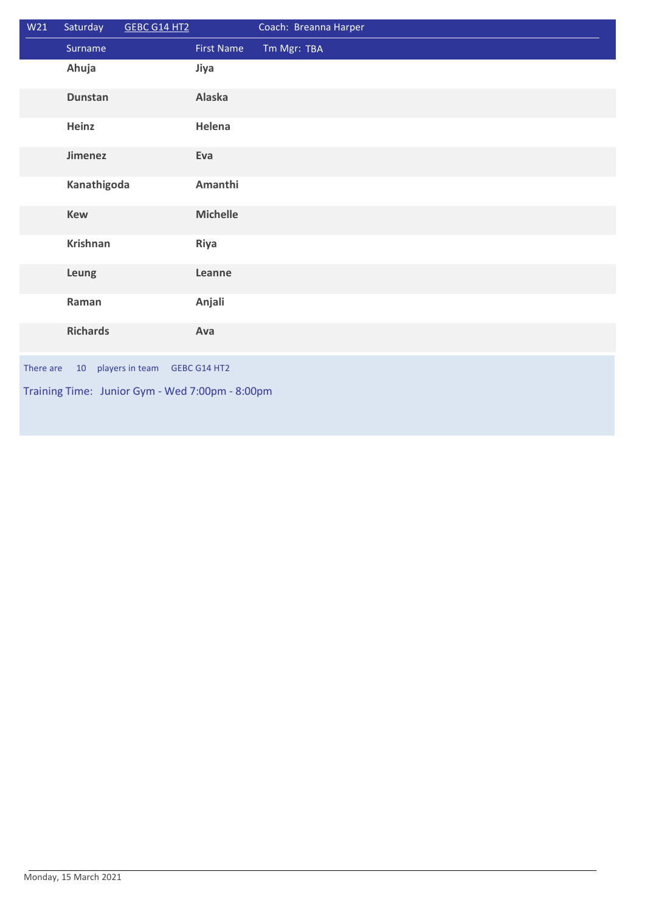| W21                                                | Saturday        | GEBC G14 HT2 |                   | Coach: Breanna Harper |  |
|----------------------------------------------------|-----------------|--------------|-------------------|-----------------------|--|
|                                                    | Surname         |              | <b>First Name</b> | Tm Mgr: TBA           |  |
|                                                    | Ahuja           |              | Jiya              |                       |  |
|                                                    | <b>Dunstan</b>  |              | Alaska            |                       |  |
|                                                    | Heinz           |              | Helena            |                       |  |
|                                                    | <b>Jimenez</b>  |              | Eva               |                       |  |
|                                                    | Kanathigoda     |              | Amanthi           |                       |  |
|                                                    | <b>Kew</b>      |              | <b>Michelle</b>   |                       |  |
|                                                    | <b>Krishnan</b> |              | Riya              |                       |  |
|                                                    | Leung           |              | Leanne            |                       |  |
|                                                    | Raman           |              | Anjali            |                       |  |
|                                                    | <b>Richards</b> |              | Ava               |                       |  |
| players in team<br>There are<br>10<br>GEBC G14 HT2 |                 |              |                   |                       |  |
| Training Time: Junior Gym - Wed 7:00pm - 8:00pm    |                 |              |                   |                       |  |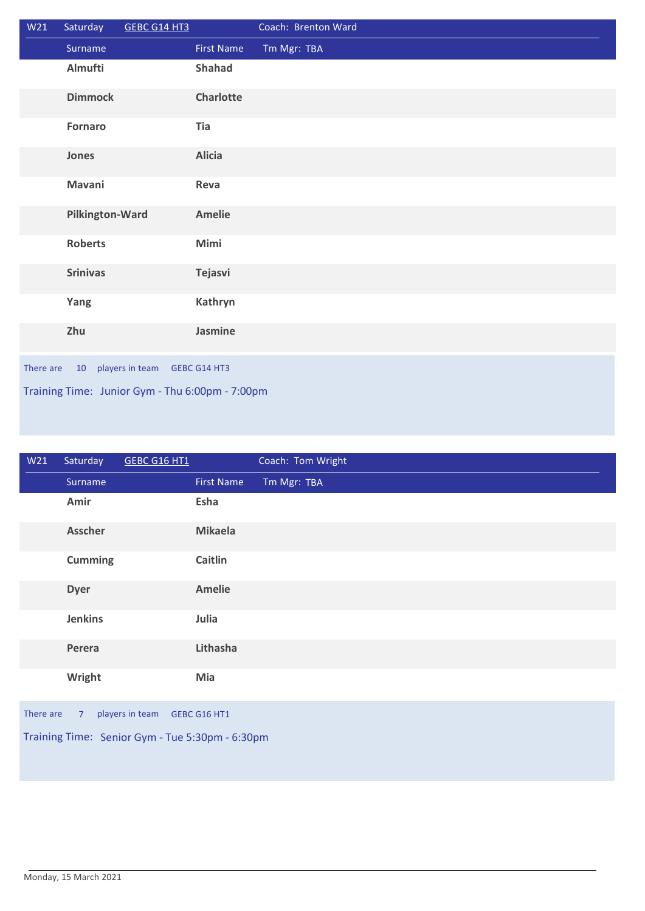| W21                                                | Saturday        | GEBC G14 HT3 |                   | Coach: Brenton Ward |  |
|----------------------------------------------------|-----------------|--------------|-------------------|---------------------|--|
|                                                    | Surname         |              | <b>First Name</b> | Tm Mgr: TBA         |  |
|                                                    | Almufti         |              | Shahad            |                     |  |
|                                                    | <b>Dimmock</b>  |              | Charlotte         |                     |  |
|                                                    | <b>Fornaro</b>  |              | Tia               |                     |  |
|                                                    | Jones           |              | <b>Alicia</b>     |                     |  |
|                                                    | Mavani          |              | Reva              |                     |  |
|                                                    | Pilkington-Ward |              | <b>Amelie</b>     |                     |  |
|                                                    | <b>Roberts</b>  |              | Mimi              |                     |  |
|                                                    | <b>Srinivas</b> |              | Tejasvi           |                     |  |
|                                                    | Yang            |              | Kathryn           |                     |  |
|                                                    | Zhu             |              | Jasmine           |                     |  |
| players in team<br>There are<br>10<br>GEBC G14 HT3 |                 |              |                   |                     |  |
| Training Time: Junior Gym - Thu 6:00pm - 7:00pm    |                 |              |                   |                     |  |

| W21 | Saturday       | <b>GEBC G16 HT1</b> |                   | Coach: Tom Wright |  |
|-----|----------------|---------------------|-------------------|-------------------|--|
|     | Surname        |                     | <b>First Name</b> | Tm Mgr: TBA       |  |
|     | Amir           |                     | Esha              |                   |  |
|     | Asscher        |                     | <b>Mikaela</b>    |                   |  |
|     | <b>Cumming</b> |                     | Caitlin           |                   |  |
|     | <b>Dyer</b>    |                     | <b>Amelie</b>     |                   |  |
|     | <b>Jenkins</b> |                     | Julia             |                   |  |
|     | Perera         |                     | Lithasha          |                   |  |
|     | Wright         |                     | Mia               |                   |  |
|     |                |                     |                   |                   |  |

There are 7 players in team GEBC G16 HT1

Training Time: Senior Gym - Tue 5:30pm - 6:30pm